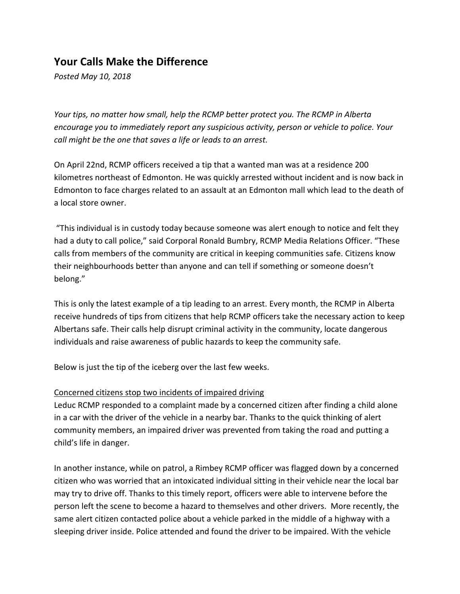## **Your Calls Make the Difference**

*Posted May 10, 2018*

*Your tips, no matter how small, help the RCMP better protect you. The RCMP in Alberta encourage you to immediately report any suspicious activity, person or vehicle to police. Your call might be the one that saves a life or leads to an arrest.* 

On April 22nd, RCMP officers received a tip that a wanted man was at a residence 200 kilometres northeast of Edmonton. He was quickly arrested without incident and is now back in Edmonton to face charges related to an assault at an Edmonton mall which lead to the death of a local store owner.

"This individual is in custody today because someone was alert enough to notice and felt they had a duty to call police," said Corporal Ronald Bumbry, RCMP Media Relations Officer. "These calls from members of the community are critical in keeping communities safe. Citizens know their neighbourhoods better than anyone and can tell if something or someone doesn't belong."

This is only the latest example of a tip leading to an arrest. Every month, the RCMP in Alberta receive hundreds of tips from citizens that help RCMP officers take the necessary action to keep Albertans safe. Their calls help disrupt criminal activity in the community, locate dangerous individuals and raise awareness of public hazards to keep the community safe.

Below is just the tip of the iceberg over the last few weeks.

## Concerned citizens stop two incidents of impaired driving

Leduc RCMP responded to a complaint made by a concerned citizen after finding a child alone in a car with the driver of the vehicle in a nearby bar. Thanks to the quick thinking of alert community members, an impaired driver was prevented from taking the road and putting a child's life in danger.

In another instance, while on patrol, a Rimbey RCMP officer was flagged down by a concerned citizen who was worried that an intoxicated individual sitting in their vehicle near the local bar may try to drive off. Thanks to this timely report, officers were able to intervene before the person left the scene to become a hazard to themselves and other drivers. More recently, the same alert citizen contacted police about a vehicle parked in the middle of a highway with a sleeping driver inside. Police attended and found the driver to be impaired. With the vehicle